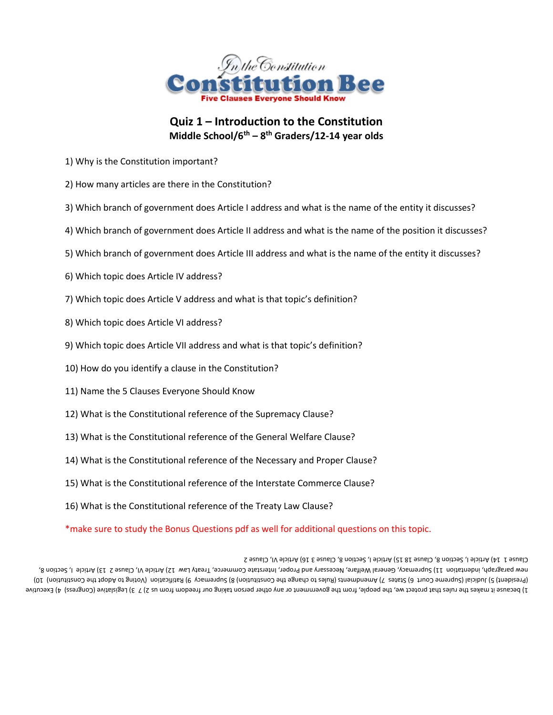

## **Quiz 1 – Introduction to the Constitution Middle School/6th – 8 th Graders/12-14 year olds**

- 1) Why is the Constitution important?
- 2) How many articles are there in the Constitution?
- 3) Which branch of government does Article I address and what is the name of the entity it discusses?
- 4) Which branch of government does Article II address and what is the name of the position it discusses?
- 5) Which branch of government does Article III address and what is the name of the entity it discusses?
- 6) Which topic does Article IV address?
- 7) Which topic does Article V address and what is that topic's definition?
- 8) Which topic does Article VI address?
- 9) Which topic does Article VII address and what is that topic's definition?
- 10) How do you identify a clause in the Constitution?
- 11) Name the 5 Clauses Everyone Should Know
- 12) What is the Constitutional reference of the Supremacy Clause?
- 13) What is the Constitutional reference of the General Welfare Clause?
- 14) What is the Constitutional reference of the Necessary and Proper Clause?
- 15) What is the Constitutional reference of the Interstate Commerce Clause?
- 16) What is the Constitutional reference of the Treaty Law Clause?

\*make sure to study the Bonus Questions pdf as well for additional questions on this topic.

1) because it makes the rules that protect we, the people, from the government or any other person taking our freedom from us 2) 7 3) Legislative (Congress) 4) Executive (01 (noitutitano of the Dable of SuitoV) noits ilitat (e yosmanque (8 (noitutitano of the agnation ot a 9 Malles machama ( C a 3 fate (a truo o smanque) labibul (e (the bies 19) Be as I, S Article 1, Section 11) Supremacy, General Welfare, Metricle interstate Commerce, Treaty Lex. Interstate I, General Orlicle I, Section 8, Netricle 1, Section 8, Necessary Result of Drestration of Dressers And Let Clause 1 14) Article I, Section 8, Clause 18 15) Article I, Section 8, Clause 3 16) Article VI, Clause 2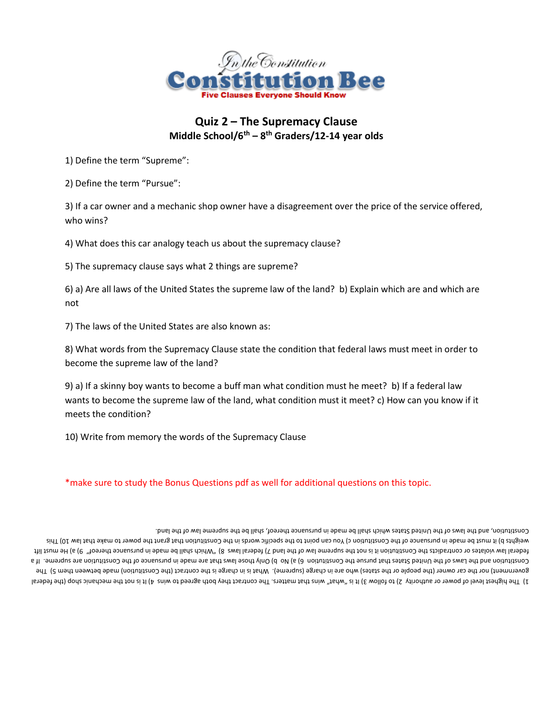

## **Quiz 2 – The Supremacy Clause Middle School/6th – 8 th Graders/12-14 year olds**

1) Define the term "Supreme":

2) Define the term "Pursue":

3) If a car owner and a mechanic shop owner have a disagreement over the price of the service offered, who wins?

4) What does this car analogy teach us about the supremacy clause?

5) The supremacy clause says what 2 things are supreme?

6) a) Are all laws of the United States the supreme law of the land? b) Explain which are and which are not

7) The laws of the United States are also known as:

8) What words from the Supremacy Clause state the condition that federal laws must meet in order to become the supreme law of the land?

9) a) If a skinny boy wants to become a buff man what condition must he meet? b) If a federal law wants to become the supreme law of the land, what condition must it meet? c) How can you know if it meets the condition?

10) Write from memory the words of the Supremacy Clause

\*make sure to study the Bonus Questions pdf as well for additional questions on this topic.

Ist is not the mechanic straight of the mechanic shop and that wins It is not they both shop wins  $\mu$  is in that denoted to level also the federal is the federal government) nor the car owner (the people or the states) who are in statge (supreme). What is in charge is the contract (the Constitution) made between them 5) The Contitution are maintifure are matted that in the mand that those is no b) Only those laws is the made in the constitution are supreme. If a law and the Constitution and the Constitution and the Constitution and the Consti Hil fzum aH (6 (e "toanart aonsuzuq ni absm ad llsna noirlw" (8 zwsl Isnabat (\ bnsl ant to wsl amanquz ant ton ai it noitutitano and atoibsntnoo no aatsloiv wsl Isnabat with the specific words words with the constitution of the specific words in the Constitution that a fam and that words in the constitution of the in the specific specific to the indigion d. Constitution, and the laws of the United States which shall be made in pursuance thereof, shall be the supreme law of the lan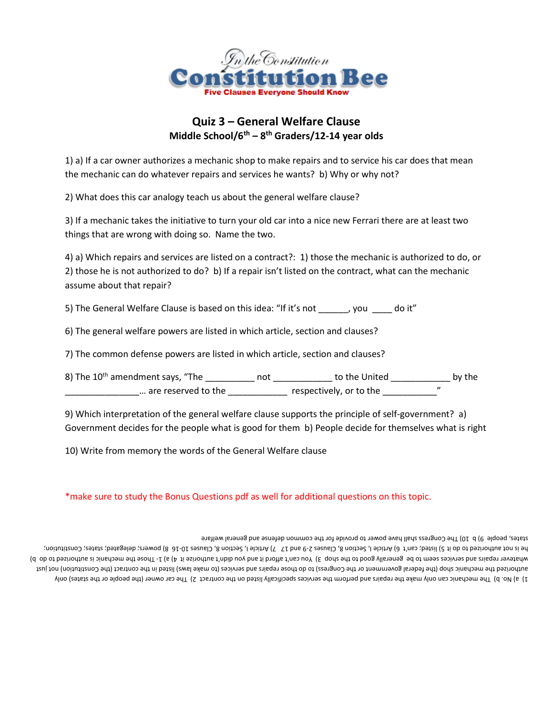

## **Quiz 3 – General Welfare Clause Middle School/6th – 8 th Graders/12-14 year olds**

1) a) If a car owner authorizes a mechanic shop to make repairs and to service his car does that mean the mechanic can do whatever repairs and services he wants? b) Why or why not?

2) What does this car analogy teach us about the general welfare clause?

3) If a mechanic takes the initiative to turn your old car into a nice new Ferrari there are at least two things that are wrong with doing so. Name the two.

4) a) Which repairs and services are listed on a contract?: 1) those the mechanic is authorized to do, or 2) those he is not authorized to do? b) If a repair isn't listed on the contract, what can the mechanic assume about that repair?

5) The General Welfare Clause is based on this idea: "If it's not \_\_\_\_\_\_, you \_\_\_\_ do it"

6) The general welfare powers are listed in which article, section and clauses?

7) The common defense powers are listed in which article, section and clauses?

8) The 10<sup>th</sup> amendment says, "The \_\_\_\_\_\_\_\_\_\_\_\_ not \_\_\_\_\_\_\_\_\_\_\_\_\_ to the United \_\_\_\_\_\_\_\_\_\_\_\_\_\_\_ by the \_\_\_\_\_\_\_\_\_\_\_\_\_\_\_\_\_\_… are reserved to the \_\_\_\_\_\_\_\_\_\_\_\_\_\_\_\_ respectively, or to the \_\_\_\_\_\_\_\_\_\_\_\_\_\_\_\_"

9) Which interpretation of the general welfare clause supports the principle of self-government? a) Government decides for the people what is good for them b) People decide for themselves what is right

10) Write from memory the words of the General Welfare clause

\*make sure to study the Bonus Questions pdf as well for additional questions on this topic.

and only on the mechanic can only make the repairs and perform the services specifically listed on the contract 2) The car owner (the people or the states) only hydro the states) only and the perform the states) only tzuj ton (noitutitzno2 ent) the the constract or the Congress) to do trepairs and services (to make laws) listed in the formation of the Constitution or the formation and begine the produce (d ob ot besirortus a bireform ent asont -1 (s (A ti esirortus t'nbib uoy bne ti broths t'ans or Y E qont and ot boog ylls and as ea ot mees asbivas bne shisqs navestalw Postitution; Termination; Gonstitution; 16 1) Article I, Section 8, Clauses 2-9 and 17 7) Article I, Section 8, Clauses 10-16 8) powers; delegated; canes; Constitution; 19 Article I, Section 8, Clauses 10-16 8) in the orde 10) The Congress shall have power to provide to provide for the common defense and general welfare b people and the people 9) b  $10$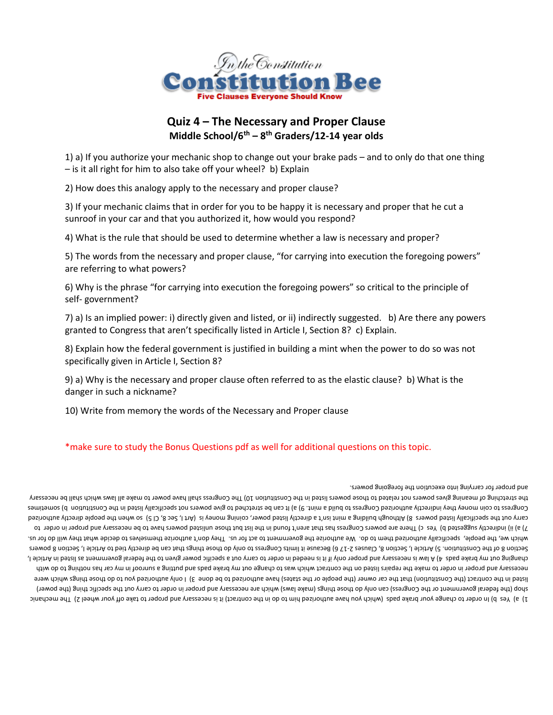

## **Quiz 4 – The Necessary and Proper Clause Middle School/6th – 8 th Graders/12-14 year olds**

1) a) If you authorize your mechanic shop to change out your brake pads – and to only do that one thing – is it all right for him to also take off your wheel? b) Explain

2) How does this analogy apply to the necessary and proper clause?

3) If your mechanic claims that in order for you to be happy it is necessary and proper that he cut a sunroof in your car and that you authorized it, how would you respond?

4) What is the rule that should be used to determine whether a law is necessary and proper?

5) The words from the necessary and proper clause, "for carrying into execution the foregoing powers" are referring to what powers?

6) Why is the phrase "for carrying into execution the foregoing powers" so critical to the principle of self- government?

7) a) Is an implied power: i) directly given and listed, or ii) indirectly suggested. b) Are there any powers granted to Congress that aren't specifically listed in Article I, Section 8? c) Explain.

8) Explain how the federal government is justified in building a mint when the power to do so was not specifically given in Article I, Section 8?

9) a) Why is the necessary and proper clause often referred to as the elastic clause? b) What is the danger in such a nickname?

10) Write from memory the words of the Necessary and Proper clause

### \*make sure to study the Bonus Questions pdf as well for additional questions on this topic.

and proper for carrying into execution the foregoing powers.

ain ender to change your brake pads (which you have authorized him to do in the contract) it is necessary and proper to the ady your wheel 2) The mechanic in the chang the to the contract) of the mechanic shop (the federal government or the Congress) can only do those things (make laws) which are necessary and proper in order to carry out the specific thing (the power) Iisted in the contract (the Constitution) that the stare) have the states) have authorized to be done 3) I only authorized you to do those things which were diiw ob of gnidfon asd na year on the change that which was to change out my brake pads and putting a sunroof in my car has nothing to the compting to which to the federal government as incressed in Article I, the feded in order to carry out a specific power given of the federal government as last of the paral order i, be pads also the federal government and proper federal go Section 8 of the Constitution. 5) Article I, Secions ( 8) and a cannot cangive that the those that the section 8 powers are the clips of the Constitution of the Constitution of the Constitution of the Constitution and the which we, the people, specifically authorized them outhorize the government to act for us. They don't authorize themselves to decide what they whil do for us. T) ii) indirectly suggested b) Yes c) There are powers Congress has the it inditional pare that those unlisted powers have to be necessary and proper in order to carry out the specifically engoged on the people and the people is the people in Green Berger, comey be suppled the people directly and the people directly and the people although be specifically listing and the people and Congress to coin money they identified to give to poild a power of the Constitution It (e componed the constitution to give powers in the Constitution of the Constitution of the Congress of the Congress of the Congress of The stretching of meaning gives powers not related of bestred and the congress and have power to make all laws which and all also energior of persony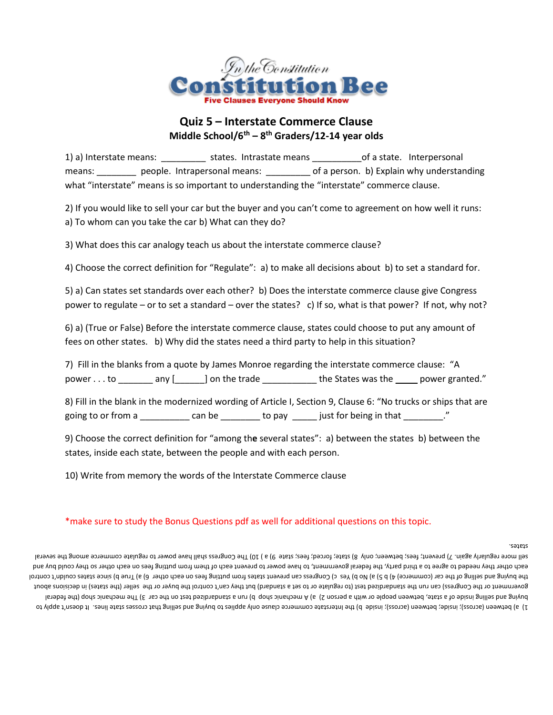

## **Quiz 5 – Interstate Commerce Clause Middle School/6th – 8 th Graders/12-14 year olds**

1) a) Interstate means: \_\_\_\_\_\_\_\_\_\_\_ states. Intrastate means \_\_\_\_\_\_\_\_\_\_\_\_\_of a state. Interpersonal means: \_\_\_\_\_\_\_\_\_ people. Intrapersonal means: \_\_\_\_\_\_\_\_\_\_ of a person. b) Explain why understanding what "interstate" means is so important to understanding the "interstate" commerce clause.

2) If you would like to sell your car but the buyer and you can't come to agreement on how well it runs: a) To whom can you take the car b) What can they do?

3) What does this car analogy teach us about the interstate commerce clause?

4) Choose the correct definition for "Regulate": a) to make all decisions about b) to set a standard for.

5) a) Can states set standards over each other? b) Does the interstate commerce clause give Congress power to regulate – or to set a standard – over the states? c) If so, what is that power? If not, why not?

6) a) (True or False) Before the interstate commerce clause, states could choose to put any amount of fees on other states. b) Why did the states need a third party to help in this situation?

7) Fill in the blanks from a quote by James Monroe regarding the interstate commerce clause: "A power . . . to \_\_\_\_\_\_\_ any [\_\_\_\_\_\_] on the trade \_\_\_\_\_\_\_\_\_\_\_\_ the States was the \_\_\_\_\_ power granted."

8) Fill in the blank in the modernized wording of Article I, Section 9, Clause 6: "No trucks or ships that are going to or from a \_\_\_\_\_\_\_\_\_\_\_ can be \_\_\_\_\_\_\_\_ to pay \_\_\_\_\_ just for being in that \_\_\_\_\_\_\_\_."

9) Choose the correct definition for "among th**e** several states": a) between the states b) between the states, inside each state, between the people and with each person.

10) Write from memory the words of the Interstate Commerce clause

### \*make sure to study the Bonus Questions pdf as well for additional questions on this topic.

states.

I) between (across); inside; between (across); inside b) the Interstate commerce clause only applige to buying and selling that trosses state lines. It doesn't apply to lerabet ent) qont sinenbem ent (E vas ent no test besibnabneta e nuv (d qont sinenbem A (e (S noareq e ntiw no elqoeq needweed detat a fo ebiani gnillet breaderal government or the Congress) can run the standardized test (to regulate or to set a standard) but the yan't control the buyer or the seller (the states) in decisions about lorinco i'nbluoo eafste sonie (d surl (6 (a helio dos eas gniting mon eastes from putting fees on each other 6) and frue control of the control of the control of the control selling buyind ships buying and the byeach other they needed to a seree to a third buy, the federal gorem may bould buy buy buy buy buy buy to buy and the fees on each other so they could buy and regulaty again. 7) prevent; fees; between; only 8) state; forced; fees; state 9) a ) 10) The Congress shall have power to regulate commerce among the several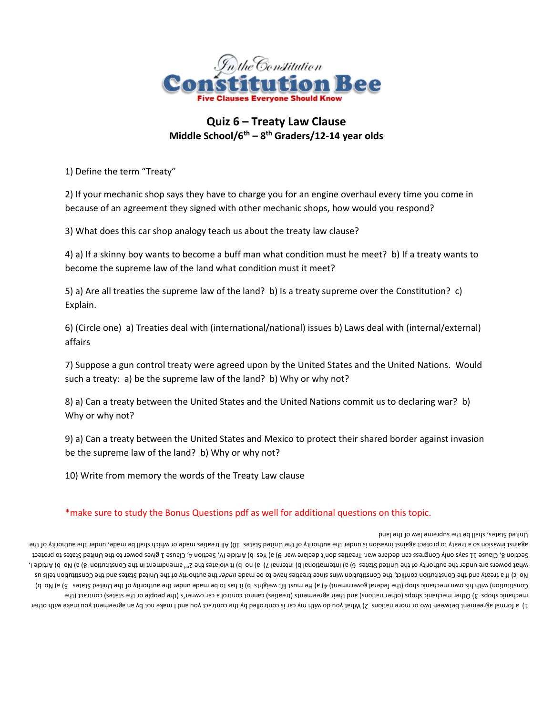

## **Quiz 6 – Treaty Law Clause Middle School/6th – 8 th Graders/12-14 year olds**

1) Define the term "Treaty"

2) If your mechanic shop says they have to charge you for an engine overhaul every time you come in because of an agreement they signed with other mechanic shops, how would you respond?

3) What does this car shop analogy teach us about the treaty law clause?

4) a) If a skinny boy wants to become a buff man what condition must he meet? b) If a treaty wants to become the supreme law of the land what condition must it meet?

5) a) Are all treaties the supreme law of the land? b) Is a treaty supreme over the Constitution? c) Explain.

6) (Circle one) a) Treaties deal with (international/national) issues b) Laws deal with (internal/external) affairs

7) Suppose a gun control treaty were agreed upon by the United States and the United Nations. Would such a treaty: a) be the supreme law of the land? b) Why or why not?

8) a) Can a treaty between the United States and the United Nations commit us to declaring war? b) Why or why not?

9) a) Can a treaty between the United States and Mexico to protect their shared border against invasion be the supreme law of the land? b) Why or why not?

10) Write from memory the words of the Treaty Law clause

### \*make sure to study the Bonus Questions pdf as well for additional questions on this topic.

#### United States, shall be the supreme law of the land

Is to may also the make not with an agreement of with my car is controlled by the contract you and I make not by a agreement you make with other is the origin to the controlled by the controlled by the controlled by the co or the changs (the contract control states) suppose the people of the states) cannot control a car owner's (the people or the states) contract (the (d ov (e (2 estat2 betind ent the must show the plane of the plane and the plane in the shot show the made under the short of the United States Constitution) (d own can derive the United States Constitution) on the short t And the Constitution tells using the Constitution wins since treaties have to be made under the of the United States bad the Constitution center are on substitution constitution constitution constitution constitution const I sloitted our le 18 noituitiznoo satt ni thembneme <sup>en</sup>S ent eesteloiv ti (d on (6 (N lametrii (d lanoitametrii (6 (∂ eetst2 betinU ent to vthodtus ent rebnu ens rewoq tan vo a) Amendment in the Constitution of the Consti gives power to the United States to protect Article IV and IV as a) and Duilcle IV, Section 4, Clause 1g alves open to the United States to protect to protect Be not whos or whe shall do the chall be the shall of the during shares 10) All treaties no bot which shall be made, under the authority of the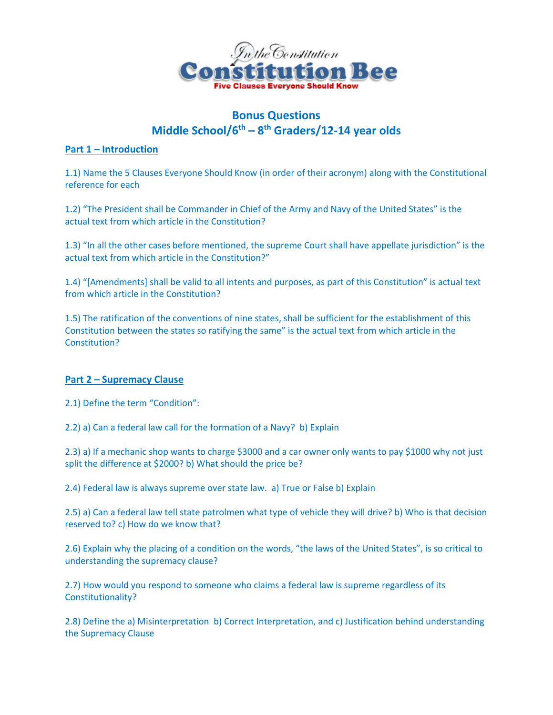

# **Bonus Questions Middle School/6 th – 8 th Graders/12-14 year olds**

## **Part 1 – Introduction**

1.1) Name the 5 Clauses Everyone Should Know (in order of their acronym) along with the Constitutional reference for each

1.2) "The President shall be Commander in Chief of the Army and Navy of the United States" is the actual text from which article in the Constitution?

1.3) "In all the other cases before mentioned, the supreme Court shall have appellate jurisdiction" is the actual text from which article in the Constitution?"

1.4) "[Amendments] shall be valid to all intents and purposes, as part of this Constitution" is actual text from which article in the Constitution?

1.5) The ratification of the conventions of nine states, shall be sufficient for the establishment of this Constitution between the states so ratifying the same" is the actual text from which article in the Constitution?

## **Part 2 – Supremacy Clause**

2.1) Define the term "Condition":

2.2) a) Can a federal law call for the formation of a Navy? b) Explain

2.3) a) If a mechanic shop wants to charge \$3000 and a car owner only wants to pay \$1000 why not just split the difference at \$2000? b) What should the price be?

2.4) Federal law is always supreme over state law. a) True or False b) Explain

2.5) a) Can a federal law tell state patrolmen what type of vehicle they will drive? b) Who is that decision reserved to? c) How do we know that?

2.6) Explain why the placing of a condition on the words, "the laws of the United States", is so critical to understanding the supremacy clause?

2.7) How would you respond to someone who claims a federal law is supreme regardless of its Constitutionality?

2.8) Define the a) Misinterpretation b) Correct Interpretation, and c) Justification behind understanding the Supremacy Clause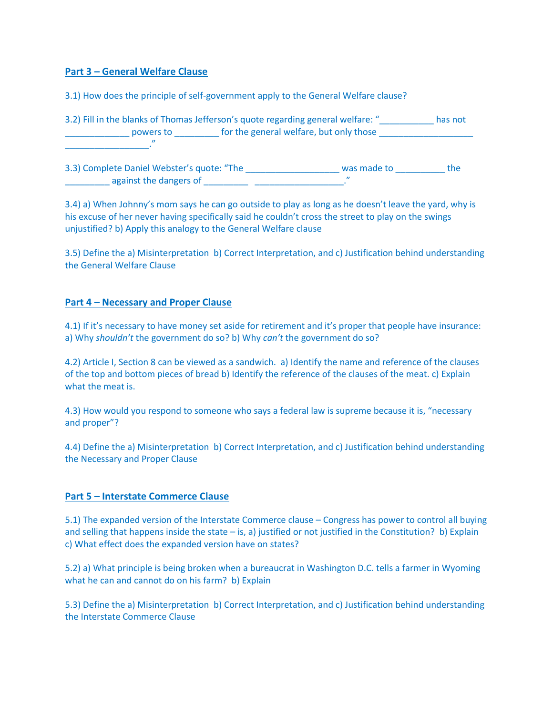### **Part 3 – General Welfare Clause**

3.1) How does the principle of self-government apply to the General Welfare clause?

| 3.2) Fill in the blanks of Thomas Jefferson's quote regarding general welfare: "<br>powers to | for the general welfare, but only those | has not |
|-----------------------------------------------------------------------------------------------|-----------------------------------------|---------|
| $\boldsymbol{\eta}$                                                                           |                                         |         |
| 3.3) Complete Daniel Webster's quote: "The<br>against the dangers of                          | was made to<br>$\boldsymbol{\eta}$      | the     |

3.4) a) When Johnny's mom says he can go outside to play as long as he doesn't leave the yard, why is his excuse of her never having specifically said he couldn't cross the street to play on the swings unjustified? b) Apply this analogy to the General Welfare clause

3.5) Define the a) Misinterpretation b) Correct Interpretation, and c) Justification behind understanding the General Welfare Clause

### **Part 4 – Necessary and Proper Clause**

4.1) If it's necessary to have money set aside for retirement and it's proper that people have insurance: a) Why *shouldn't* the government do so? b) Why *can't* the government do so?

4.2) Article I, Section 8 can be viewed as a sandwich. a) Identify the name and reference of the clauses of the top and bottom pieces of bread b) Identify the reference of the clauses of the meat. c) Explain what the meat is.

4.3) How would you respond to someone who says a federal law is supreme because it is, "necessary and proper"?

4.4) Define the a) Misinterpretation b) Correct Interpretation, and c) Justification behind understanding the Necessary and Proper Clause

### **Part 5 – Interstate Commerce Clause**

5.1) The expanded version of the Interstate Commerce clause – Congress has power to control all buying and selling that happens inside the state – is, a) justified or not justified in the Constitution? b) Explain c) What effect does the expanded version have on states?

5.2) a) What principle is being broken when a bureaucrat in Washington D.C. tells a farmer in Wyoming what he can and cannot do on his farm? b) Explain

5.3) Define the a) Misinterpretation b) Correct Interpretation, and c) Justification behind understanding the Interstate Commerce Clause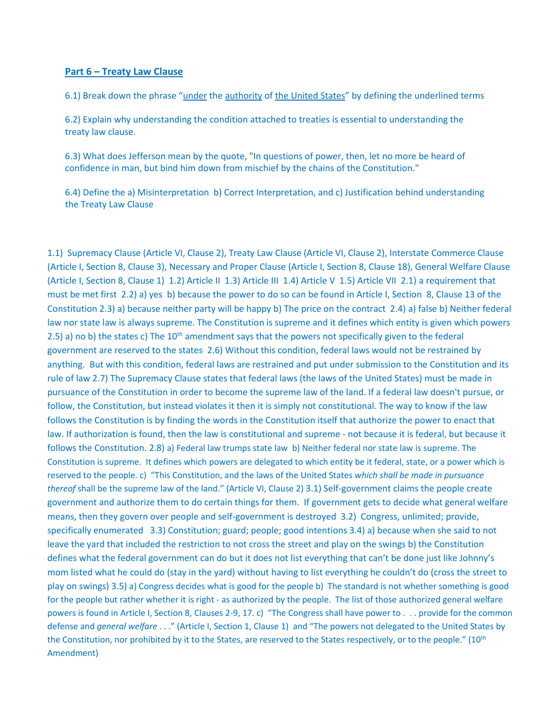### **Part 6 – Treaty Law Clause**

6.1) Break down the phrase "under the authority of the United States" by defining the underlined terms

6.2) Explain why understanding the condition attached to treaties is essential to understanding the treaty law clause.

6.3) What does Jefferson mean by the quote, "In questions of power, then, let no more be heard of confidence in man, but bind him down from mischief by the chains of the Constitution."

6.4) Define the a) Misinterpretation b) Correct Interpretation, and c) Justification behind understanding the Treaty Law Clause

1.1) Supremacy Clause (Article VI, Clause 2), Treaty Law Clause (Article VI, Clause 2), Interstate Commerce Clause (Article I, Section 8, Clause 3), Necessary and Proper Clause (Article I, Section 8, Clause 18), General Welfare Clause (Article I, Section 8, Clause 1) 1.2) Article II 1.3) Article III 1.4) Article V 1.5) Article VII 2.1) a requirement that must be met first 2.2) a) yes b) because the power to do so can be found in Article I, Section 8, Clause 13 of the Constitution 2.3) a) because neither party will be happy b) The price on the contract 2.4) a) false b) Neither federal law nor state law is always supreme. The Constitution is supreme and it defines which entity is given which powers 2.5) a) no b) the states c) The 10<sup>th</sup> amendment says that the powers not specifically given to the federal government are reserved to the states 2.6) Without this condition, federal laws would not be restrained by anything. But with this condition, federal laws are restrained and put under submission to the Constitution and its rule of law 2.7) The Supremacy Clause states that federal laws (the laws of the United States) must be made in pursuance of the Constitution in order to become the supreme law of the land. If a federal law doesn't pursue, or follow, the Constitution, but instead violates it then it is simply not constitutional. The way to know if the law follows the Constitution is by finding the words in the Constitution itself that authorize the power to enact that law. If authorization is found, then the law is constitutional and supreme - not because it is federal, but because it follows the Constitution. 2.8) a) Federal law trumps state law b) Neither federal nor state law is supreme. The Constitution is supreme. It defines which powers are delegated to which entity be it federal, state, or a power which is reserved to the people. c) "This Constitution, and the laws of the United States *which shall be made in pursuance thereof* shall be the supreme law of the land." (Article VI, Clause 2) 3.1) Self-government claims the people create government and authorize them to do certain things for them. If government gets to decide what general welfare means, then they govern over people and self-government is destroyed 3.2) Congress, unlimited; provide, specifically enumerated 3.3) Constitution; guard; people; good intentions 3.4) a) because when she said to not leave the yard that included the restriction to not cross the street and play on the swings b) the Constitution defines what the federal government can do but it does not list everything that can't be done just like Johnny's mom listed what he could do (stay in the yard) without having to list everything he couldn't do (cross the street to play on swings) 3.5) a) Congress decides what is good for the people b) The standard is not whether something is good for the people but rather whether it is right - as authorized by the people. The list of those authorized general welfare powers is found in Article I, Section 8, Clauses 2-9, 17. c) "The Congress shall have power to . . . provide for the common defense and *general welfare* . . ." (Article I, Section 1, Clause 1) and "The powers not delegated to the United States by the Constitution, nor prohibited by it to the States, are reserved to the States respectively, or to the people." (10<sup>th</sup> Amendment)